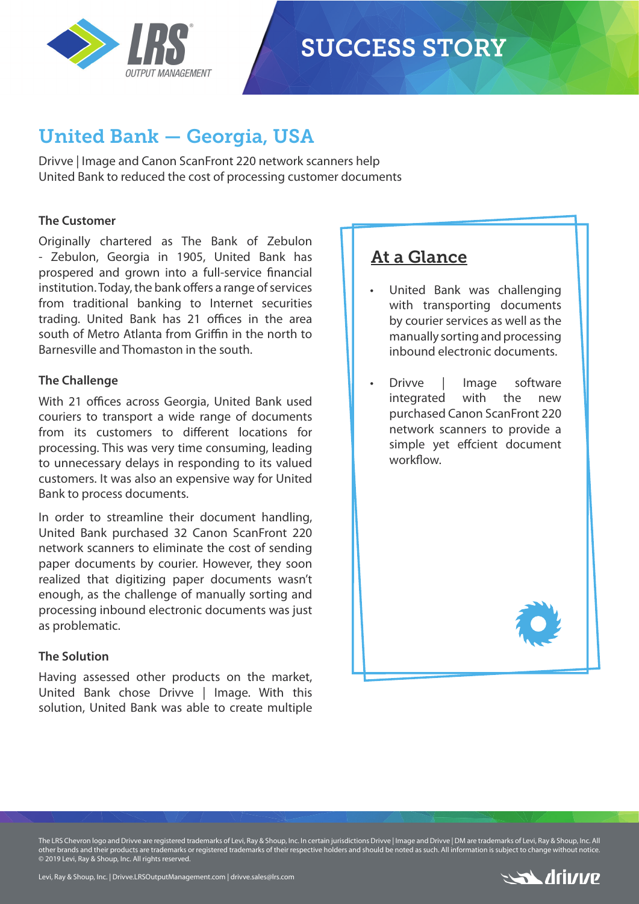

# **SUCCESS STORY**

## United Bank — Georgia, USA

Drivve | Image and Canon ScanFront 220 network scanners help United Bank to reduced the cost of processing customer documents

#### **The Customer**

Originally chartered as The Bank of Zebulon - Zebulon, Georgia in 1905, United Bank has prospered and grown into a full-service financial institution. Today, the bank offers a range of services from traditional banking to Internet securities trading. United Bank has 21 offices in the area south of Metro Atlanta from Griffin in the north to Barnesville and Thomaston in the south.

#### **The Challenge**

With 21 offices across Georgia, United Bank used couriers to transport a wide range of documents from its customers to different locations for processing. This was very time consuming, leading to unnecessary delays in responding to its valued customers. It was also an expensive way for United Bank to process documents.

In order to streamline their document handling, United Bank purchased 32 Canon ScanFront 220 network scanners to eliminate the cost of sending paper documents by courier. However, they soon realized that digitizing paper documents wasn't enough, as the challenge of manually sorting and processing inbound electronic documents was just as problematic.

#### **The Solution**

Having assessed other products on the market, United Bank chose Drivve | Image. With this solution, United Bank was able to create multiple

### At a Glance

United Bank was challenging with transporting documents by courier services as well as the manually sorting and processing inbound electronic documents.

• Drivve | Image software integrated with the new purchased Canon ScanFront 220 network scanners to provide a simple yet effcient document workflow.



The LRS Chevron logo and Drivve are registered trademarks of Levi, Ray & Shoup, Inc. In certain jurisdictions Drivve | Image and Drivve | DM are trademarks of Levi, Ray & Shoup, Inc. All other brands and their products are trademarks or registered trademarks of their respective holders and should be noted as such. All information is subject to change without notice. © 2019 Levi, Ray & Shoup, Inc. All rights reserved.